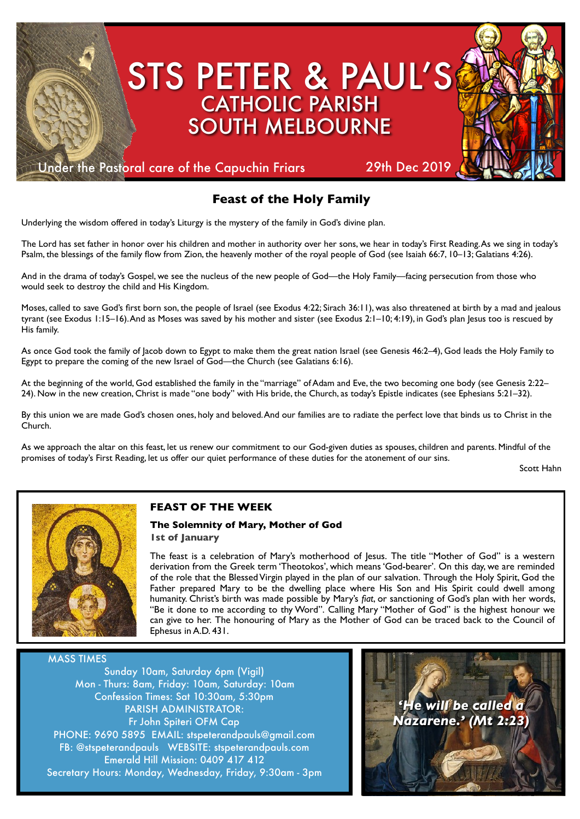

# **Feast of the Holy Family**

Underlying the wisdom offered in today's Liturgy is the mystery of the family in God's divine plan.

The Lord has set father in honor over his children and mother in authority over her sons, we hear in today's First Reading. As we sing in today's Psalm, the blessings of the family flow from Zion, the heavenly mother of the royal people of God (see Isaiah 66:7, 10–13; Galatians 4:26).

And in the drama of today's Gospel, we see the nucleus of the new people of God—the Holy Family—facing persecution from those who would seek to destroy the child and His Kingdom.

Moses, called to save God's first born son, the people of Israel (see Exodus 4:22; Sirach 36:11), was also threatened at birth by a mad and jealous tyrant (see Exodus 1:15–16). And as Moses was saved by his mother and sister (see Exodus 2:1–10; 4:19), in God's plan Jesus too is rescued by His family.

As once God took the family of Jacob down to Egypt to make them the great nation Israel (see Genesis 46:2–4), God leads the Holy Family to Egypt to prepare the coming of the new Israel of God—the Church (see Galatians 6:16).

At the beginning of the world, God established the family in the "marriage" of Adam and Eve, the two becoming one body (see Genesis 2:22– 24). Now in the new creation, Christ is made "one body" with His bride, the Church, as today's Epistle indicates (see Ephesians 5:21–32).

By this union we are made God's chosen ones, holy and beloved. And our families are to radiate the perfect love that binds us to Christ in the Church.

As we approach the altar on this feast, let us renew our commitment to our God-given duties as spouses, children and parents. Mindful of the promises of today's First Reading, let us offer our quiet performance of these duties for the atonement of our sins.

Scott Hahn



#### **FEAST OF THE WEEK**

#### **The Solemnity of Mary, Mother of God**

**1st of January**

The feast is a celebration of Mary's motherhood of Jesus. The title "Mother of God" is a western derivation from the Greek term 'Theotokos', which means 'God-bearer'. On this day, we are reminded of the role that the Blessed Virgin played in the plan of our salvation. Through the Holy Spirit, God the Father prepared Mary to be the dwelling place where His Son and His Spirit could dwell among humanity. Christ's birth was made possible by Mary's *fiat*, or sanctioning of God's plan with her words, "Be it done to me according to thy Word". Calling Mary "Mother of God" is the highest honour we can give to her. The honouring of Mary as the Mother of God can be traced back to the Council of Ephesus in A.D. 431.

MASS TIMES

Sunday 10am, Saturday 6pm (Vigil) Mon - Thurs: 8am, Friday: 10am, Saturday: 10am Confession Times: Sat 10:30am, 5:30pm PARISH ADMINISTRATOR: Fr John Spiteri OFM Cap PHONE: 9690 5895 EMAIL: stspeterandpauls@gmail.com FB: @stspeterandpauls WEBSITE: stspeterandpauls.com Emerald Hill Mission: 0409 417 412 Secretary Hours: Monday, Wednesday, Friday, 9:30am - 3pm